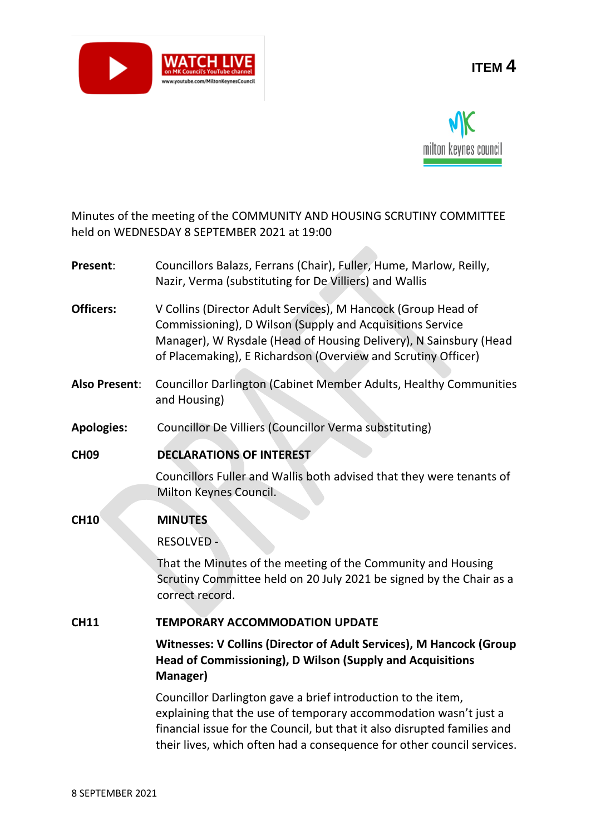

# **ITEM 4**



Minutes of the meeting of the COMMUNITY AND HOUSING SCRUTINY COMMITTEE held on WEDNESDAY 8 SEPTEMBER 2021 at 19:00

| Present:             | Councillors Balazs, Ferrans (Chair), Fuller, Hume, Marlow, Reilly,<br>Nazir, Verma (substituting for De Villiers) and Wallis                                                                                                                                                           |
|----------------------|----------------------------------------------------------------------------------------------------------------------------------------------------------------------------------------------------------------------------------------------------------------------------------------|
| <b>Officers:</b>     | V Collins (Director Adult Services), M Hancock (Group Head of<br>Commissioning), D Wilson (Supply and Acquisitions Service<br>Manager), W Rysdale (Head of Housing Delivery), N Sainsbury (Head<br>of Placemaking), E Richardson (Overview and Scrutiny Officer)                       |
| <b>Also Present:</b> | <b>Councillor Darlington (Cabinet Member Adults, Healthy Communities</b><br>and Housing)                                                                                                                                                                                               |
| <b>Apologies:</b>    | Councillor De Villiers (Councillor Verma substituting)                                                                                                                                                                                                                                 |
| <b>CH09</b>          | <b>DECLARATIONS OF INTEREST</b>                                                                                                                                                                                                                                                        |
|                      | Councillors Fuller and Wallis both advised that they were tenants of<br>Milton Keynes Council.                                                                                                                                                                                         |
| <b>CH10</b>          | <b>MINUTES</b>                                                                                                                                                                                                                                                                         |
|                      | <b>RESOLVED -</b>                                                                                                                                                                                                                                                                      |
|                      | That the Minutes of the meeting of the Community and Housing<br>Scrutiny Committee held on 20 July 2021 be signed by the Chair as a<br>correct record.                                                                                                                                 |
| <b>CH11</b>          | <b>TEMPORARY ACCOMMODATION UPDATE</b>                                                                                                                                                                                                                                                  |
|                      | Witnesses: V Collins (Director of Adult Services), M Hancock (Group<br>Head of Commissioning), D Wilson (Supply and Acquisitions<br>Manager)                                                                                                                                           |
|                      | Councillor Darlington gave a brief introduction to the item,<br>explaining that the use of temporary accommodation wasn't just a<br>financial issue for the Council, but that it also disrupted families and<br>their lives, which often had a consequence for other council services. |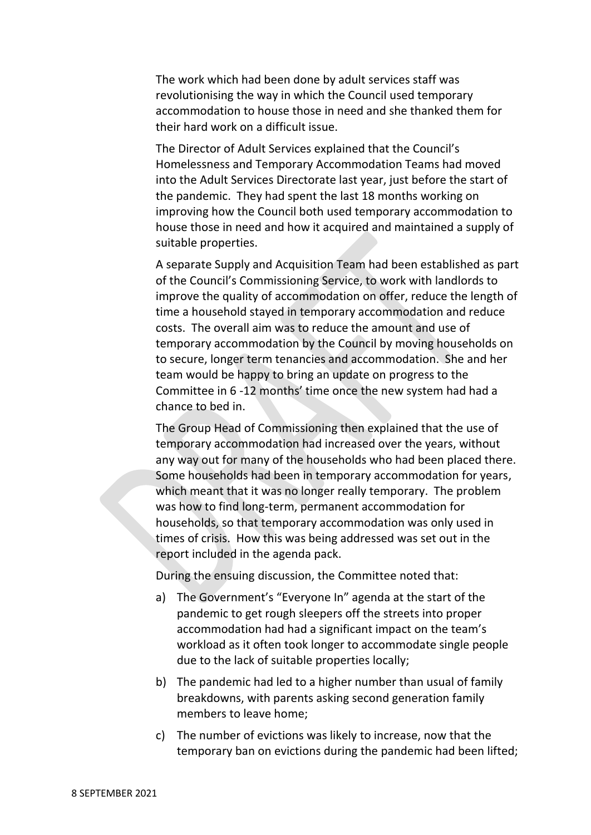The work which had been done by adult services staff was revolutionising the way in which the Council used temporary accommodation to house those in need and she thanked them for their hard work on a difficult issue.

The Director of Adult Services explained that the Council's Homelessness and Temporary Accommodation Teams had moved into the Adult Services Directorate last year, just before the start of the pandemic. They had spent the last 18 months working on improving how the Council both used temporary accommodation to house those in need and how it acquired and maintained a supply of suitable properties.

A separate Supply and Acquisition Team had been established as part of the Council's Commissioning Service, to work with landlords to improve the quality of accommodation on offer, reduce the length of time a household stayed in temporary accommodation and reduce costs. The overall aim was to reduce the amount and use of temporary accommodation by the Council by moving households on to secure, longer term tenancies and accommodation. She and her team would be happy to bring an update on progress to the Committee in 6 -12 months' time once the new system had had a chance to bed in.

The Group Head of Commissioning then explained that the use of temporary accommodation had increased over the years, without any way out for many of the households who had been placed there. Some households had been in temporary accommodation for years, which meant that it was no longer really temporary. The problem was how to find long-term, permanent accommodation for households, so that temporary accommodation was only used in times of crisis. How this was being addressed was set out in the report included in the agenda pack.

During the ensuing discussion, the Committee noted that:

- a) The Government's "Everyone In" agenda at the start of the pandemic to get rough sleepers off the streets into proper accommodation had had a significant impact on the team's workload as it often took longer to accommodate single people due to the lack of suitable properties locally;
- b) The pandemic had led to a higher number than usual of family breakdowns, with parents asking second generation family members to leave home;
- c) The number of evictions was likely to increase, now that the temporary ban on evictions during the pandemic had been lifted;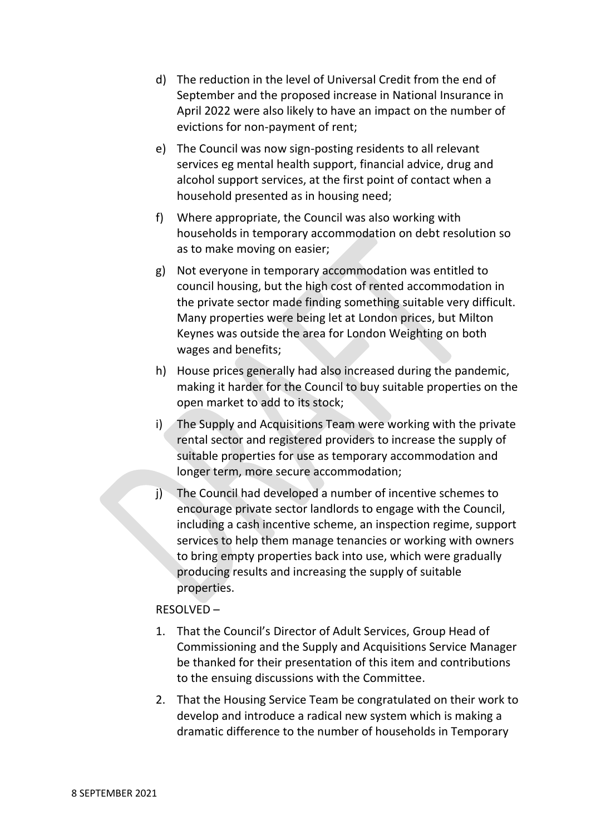- d) The reduction in the level of Universal Credit from the end of September and the proposed increase in National Insurance in April 2022 were also likely to have an impact on the number of evictions for non-payment of rent;
- e) The Council was now sign-posting residents to all relevant services eg mental health support, financial advice, drug and alcohol support services, at the first point of contact when a household presented as in housing need;
- f) Where appropriate, the Council was also working with households in temporary accommodation on debt resolution so as to make moving on easier;
- g) Not everyone in temporary accommodation was entitled to council housing, but the high cost of rented accommodation in the private sector made finding something suitable very difficult. Many properties were being let at London prices, but Milton Keynes was outside the area for London Weighting on both wages and benefits;
- h) House prices generally had also increased during the pandemic, making it harder for the Council to buy suitable properties on the open market to add to its stock;
- i) The Supply and Acquisitions Team were working with the private rental sector and registered providers to increase the supply of suitable properties for use as temporary accommodation and longer term, more secure accommodation;
- j) The Council had developed a number of incentive schemes to encourage private sector landlords to engage with the Council, including a cash incentive scheme, an inspection regime, support services to help them manage tenancies or working with owners to bring empty properties back into use, which were gradually producing results and increasing the supply of suitable properties.

### RESOLVED –

- 1. That the Council's Director of Adult Services, Group Head of Commissioning and the Supply and Acquisitions Service Manager be thanked for their presentation of this item and contributions to the ensuing discussions with the Committee.
- 2. That the Housing Service Team be congratulated on their work to develop and introduce a radical new system which is making a dramatic difference to the number of households in Temporary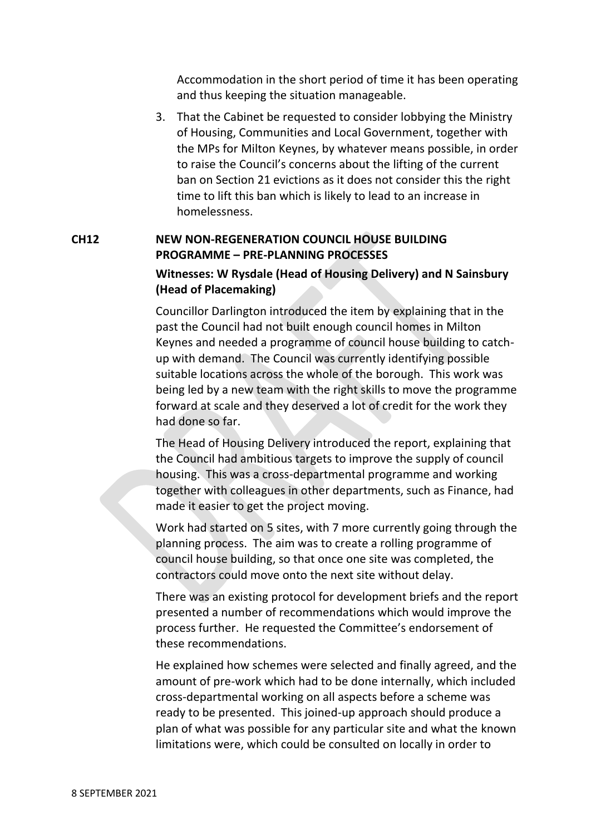Accommodation in the short period of time it has been operating and thus keeping the situation manageable.

3. That the Cabinet be requested to consider lobbying the Ministry of Housing, Communities and Local Government, together with the MPs for Milton Keynes, by whatever means possible, in order to raise the Council's concerns about the lifting of the current ban on Section 21 evictions as it does not consider this the right time to lift this ban which is likely to lead to an increase in homelessness.

# **CH12 NEW NON-REGENERATION COUNCIL HOUSE BUILDING PROGRAMME – PRE-PLANNING PROCESSES**

## **Witnesses: W Rysdale (Head of Housing Delivery) and N Sainsbury (Head of Placemaking)**

Councillor Darlington introduced the item by explaining that in the past the Council had not built enough council homes in Milton Keynes and needed a programme of council house building to catchup with demand. The Council was currently identifying possible suitable locations across the whole of the borough. This work was being led by a new team with the right skills to move the programme forward at scale and they deserved a lot of credit for the work they had done so far.

The Head of Housing Delivery introduced the report, explaining that the Council had ambitious targets to improve the supply of council housing. This was a cross-departmental programme and working together with colleagues in other departments, such as Finance, had made it easier to get the project moving.

Work had started on 5 sites, with 7 more currently going through the planning process. The aim was to create a rolling programme of council house building, so that once one site was completed, the contractors could move onto the next site without delay.

There was an existing protocol for development briefs and the report presented a number of recommendations which would improve the process further. He requested the Committee's endorsement of these recommendations.

He explained how schemes were selected and finally agreed, and the amount of pre-work which had to be done internally, which included cross-departmental working on all aspects before a scheme was ready to be presented. This joined-up approach should produce a plan of what was possible for any particular site and what the known limitations were, which could be consulted on locally in order to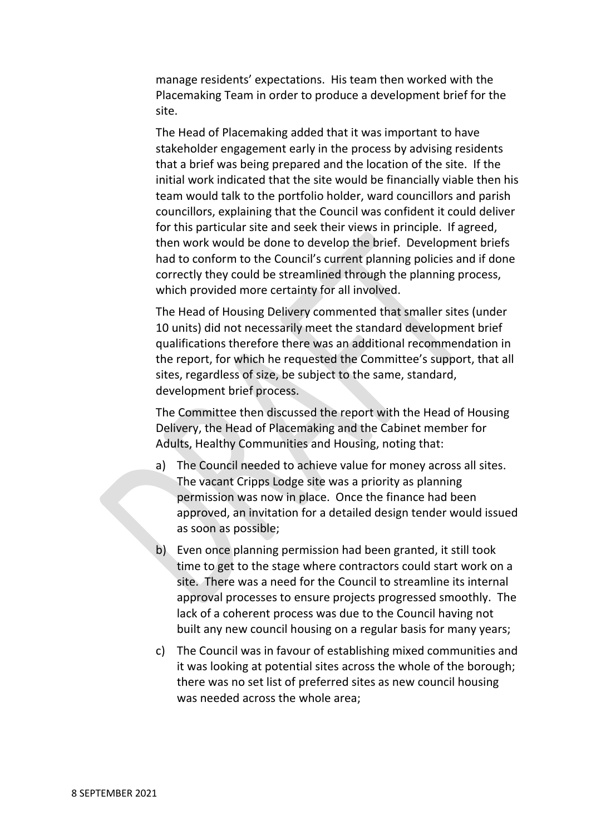manage residents' expectations. His team then worked with the Placemaking Team in order to produce a development brief for the site.

The Head of Placemaking added that it was important to have stakeholder engagement early in the process by advising residents that a brief was being prepared and the location of the site. If the initial work indicated that the site would be financially viable then his team would talk to the portfolio holder, ward councillors and parish councillors, explaining that the Council was confident it could deliver for this particular site and seek their views in principle. If agreed, then work would be done to develop the brief. Development briefs had to conform to the Council's current planning policies and if done correctly they could be streamlined through the planning process, which provided more certainty for all involved.

The Head of Housing Delivery commented that smaller sites (under 10 units) did not necessarily meet the standard development brief qualifications therefore there was an additional recommendation in the report, for which he requested the Committee's support, that all sites, regardless of size, be subject to the same, standard, development brief process.

The Committee then discussed the report with the Head of Housing Delivery, the Head of Placemaking and the Cabinet member for Adults, Healthy Communities and Housing, noting that:

- a) The Council needed to achieve value for money across all sites. The vacant Cripps Lodge site was a priority as planning permission was now in place. Once the finance had been approved, an invitation for a detailed design tender would issued as soon as possible;
- b) Even once planning permission had been granted, it still took time to get to the stage where contractors could start work on a site. There was a need for the Council to streamline its internal approval processes to ensure projects progressed smoothly. The lack of a coherent process was due to the Council having not built any new council housing on a regular basis for many years;
- c) The Council was in favour of establishing mixed communities and it was looking at potential sites across the whole of the borough; there was no set list of preferred sites as new council housing was needed across the whole area;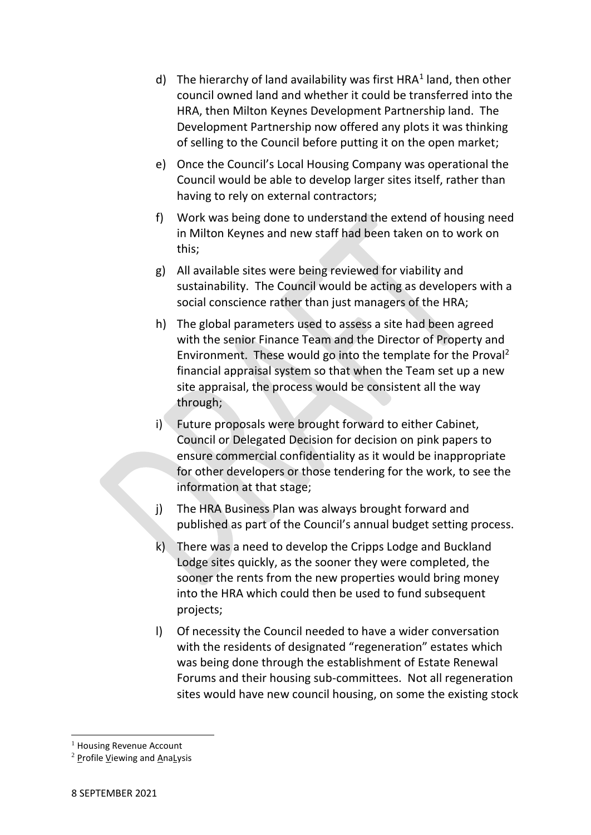- d) The hierarchy of land availability was first HRA<sup>1</sup> land, then other council owned land and whether it could be transferred into the HRA, then Milton Keynes Development Partnership land. The Development Partnership now offered any plots it was thinking of selling to the Council before putting it on the open market;
- e) Once the Council's Local Housing Company was operational the Council would be able to develop larger sites itself, rather than having to rely on external contractors;
- f) Work was being done to understand the extend of housing need in Milton Keynes and new staff had been taken on to work on this;
- g) All available sites were being reviewed for viability and sustainability. The Council would be acting as developers with a social conscience rather than just managers of the HRA;
- h) The global parameters used to assess a site had been agreed with the senior Finance Team and the Director of Property and Environment. These would go into the template for the Proval<sup>2</sup> financial appraisal system so that when the Team set up a new site appraisal, the process would be consistent all the way through;
- i) Future proposals were brought forward to either Cabinet, Council or Delegated Decision for decision on pink papers to ensure commercial confidentiality as it would be inappropriate for other developers or those tendering for the work, to see the information at that stage;
- j) The HRA Business Plan was always brought forward and published as part of the Council's annual budget setting process.
- k) There was a need to develop the Cripps Lodge and Buckland Lodge sites quickly, as the sooner they were completed, the sooner the rents from the new properties would bring money into the HRA which could then be used to fund subsequent projects;
- l) Of necessity the Council needed to have a wider conversation with the residents of designated "regeneration" estates which was being done through the establishment of Estate Renewal Forums and their housing sub-committees. Not all regeneration sites would have new council housing, on some the existing stock

 $<sup>1</sup>$  Housing Revenue Account</sup>

 $2$  Profile Viewing and AnaLysis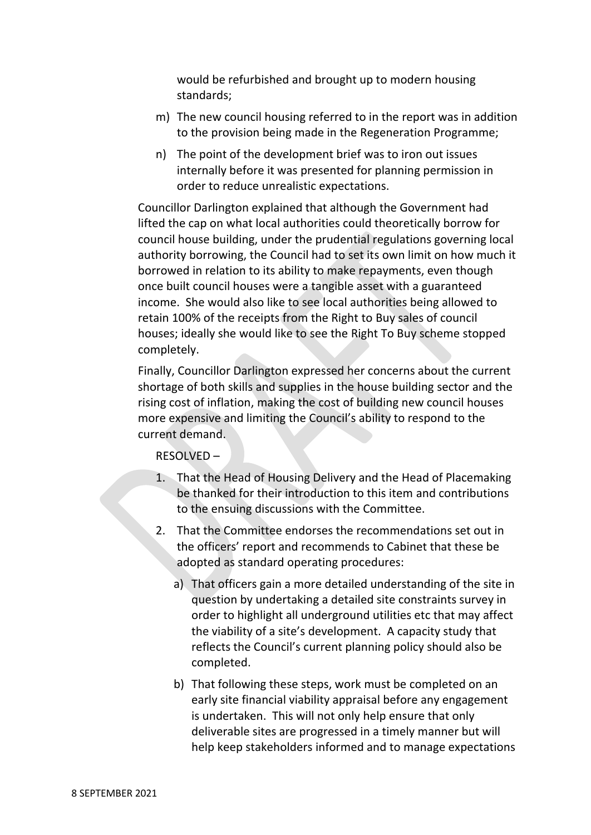would be refurbished and brought up to modern housing standards;

- m) The new council housing referred to in the report was in addition to the provision being made in the Regeneration Programme;
- n) The point of the development brief was to iron out issues internally before it was presented for planning permission in order to reduce unrealistic expectations.

Councillor Darlington explained that although the Government had lifted the cap on what local authorities could theoretically borrow for council house building, under the prudential regulations governing local authority borrowing, the Council had to set its own limit on how much it borrowed in relation to its ability to make repayments, even though once built council houses were a tangible asset with a guaranteed income. She would also like to see local authorities being allowed to retain 100% of the receipts from the Right to Buy sales of council houses; ideally she would like to see the Right To Buy scheme stopped completely.

Finally, Councillor Darlington expressed her concerns about the current shortage of both skills and supplies in the house building sector and the rising cost of inflation, making the cost of building new council houses more expensive and limiting the Council's ability to respond to the current demand.

### RESOLVED –

- 1. That the Head of Housing Delivery and the Head of Placemaking be thanked for their introduction to this item and contributions to the ensuing discussions with the Committee.
- 2. That the Committee endorses the recommendations set out in the officers' report and recommends to Cabinet that these be adopted as standard operating procedures:
	- a) That officers gain a more detailed understanding of the site in question by undertaking a detailed site constraints survey in order to highlight all underground utilities etc that may affect the viability of a site's development. A capacity study that reflects the Council's current planning policy should also be completed.
	- b) That following these steps, work must be completed on an early site financial viability appraisal before any engagement is undertaken. This will not only help ensure that only deliverable sites are progressed in a timely manner but will help keep stakeholders informed and to manage expectations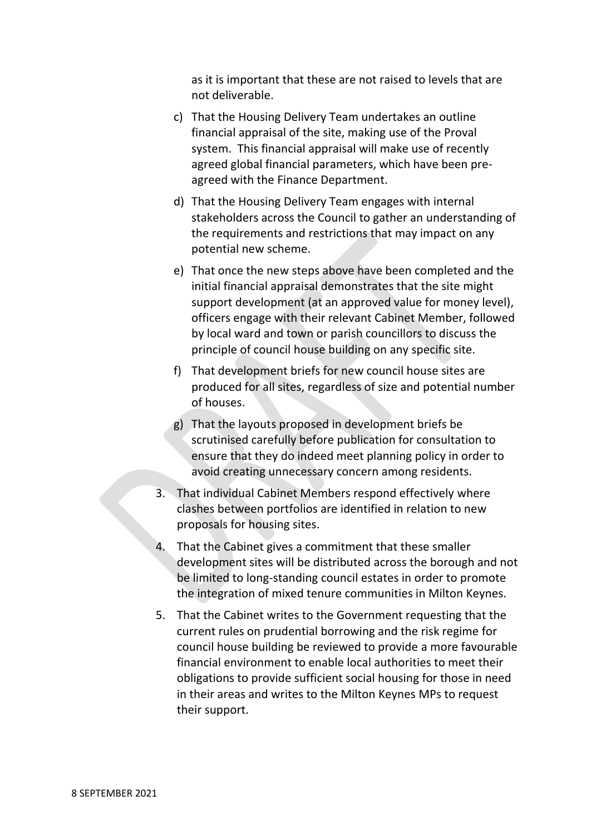as it is important that these are not raised to levels that are not deliverable.

- c) That the Housing Delivery Team undertakes an outline financial appraisal of the site, making use of the Proval system. This financial appraisal will make use of recently agreed global financial parameters, which have been preagreed with the Finance Department.
- d) That the Housing Delivery Team engages with internal stakeholders across the Council to gather an understanding of the requirements and restrictions that may impact on any potential new scheme.
- e) That once the new steps above have been completed and the initial financial appraisal demonstrates that the site might support development (at an approved value for money level), officers engage with their relevant Cabinet Member, followed by local ward and town or parish councillors to discuss the principle of council house building on any specific site.
- f) That development briefs for new council house sites are produced for all sites, regardless of size and potential number of houses.
- g) That the layouts proposed in development briefs be scrutinised carefully before publication for consultation to ensure that they do indeed meet planning policy in order to avoid creating unnecessary concern among residents.
- 3. That individual Cabinet Members respond effectively where clashes between portfolios are identified in relation to new proposals for housing sites.
- 4. That the Cabinet gives a commitment that these smaller development sites will be distributed across the borough and not be limited to long-standing council estates in order to promote the integration of mixed tenure communities in Milton Keynes.
- 5. That the Cabinet writes to the Government requesting that the current rules on prudential borrowing and the risk regime for council house building be reviewed to provide a more favourable financial environment to enable local authorities to meet their obligations to provide sufficient social housing for those in need in their areas and writes to the Milton Keynes MPs to request their support.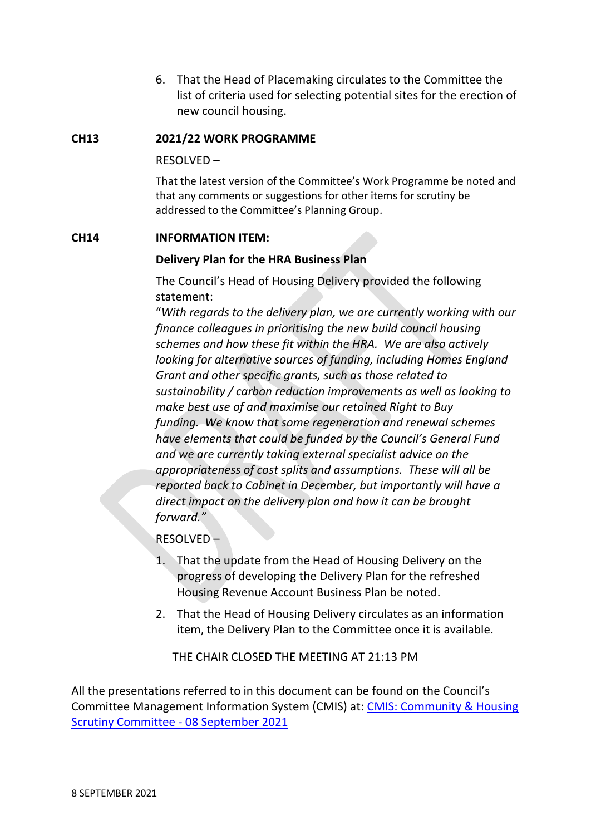6. That the Head of Placemaking circulates to the Committee the list of criteria used for selecting potential sites for the erection of new council housing.

### **CH13 2021/22 WORK PROGRAMME**

RESOLVED –

That the latest version of the Committee's Work Programme be noted and that any comments or suggestions for other items for scrutiny be addressed to the Committee's Planning Group.

#### **CH14 INFORMATION ITEM:**

#### **Delivery Plan for the HRA Business Plan**

The Council's Head of Housing Delivery provided the following statement:

"*With regards to the delivery plan, we are currently working with our finance colleagues in prioritising the new build council housing schemes and how these fit within the HRA. We are also actively looking for alternative sources of funding, including Homes England Grant and other specific grants, such as those related to sustainability / carbon reduction improvements as well as looking to make best use of and maximise our retained Right to Buy funding. We know that some regeneration and renewal schemes have elements that could be funded by the Council's General Fund and we are currently taking external specialist advice on the appropriateness of cost splits and assumptions. These will all be reported back to Cabinet in December, but importantly will have a direct impact on the delivery plan and how it can be brought forward."*

RESOLVED –

- 1. That the update from the Head of Housing Delivery on the progress of developing the Delivery Plan for the refreshed Housing Revenue Account Business Plan be noted.
- 2. That the Head of Housing Delivery circulates as an information item, the Delivery Plan to the Committee once it is available.

THE CHAIR CLOSED THE MEETING AT 21:13 PM

All the presentations referred to in this document can be found on the Council's Committee Management Information System (CMIS) at: [CMIS: Community & Housing](https://milton-keynes.cmis.uk.com/milton-keynes/Calendar/tabid/70/ctl/ViewMeetingPublic/mid/397/Meeting/6857/Committee/1402/Default.aspx)  [Scrutiny Committee -](https://milton-keynes.cmis.uk.com/milton-keynes/Calendar/tabid/70/ctl/ViewMeetingPublic/mid/397/Meeting/6857/Committee/1402/Default.aspx) 08 September 2021